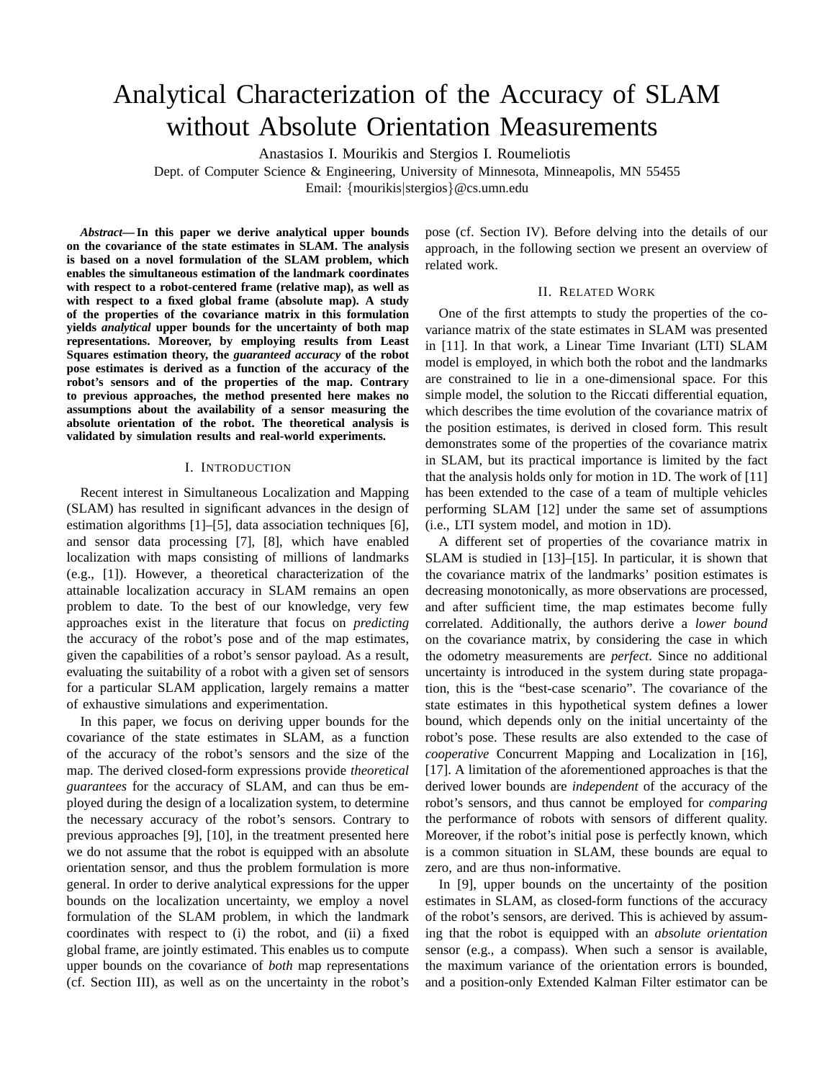# Analytical Characterization of the Accuracy of SLAM without Absolute Orientation Measurements

Anastasios I. Mourikis and Stergios I. Roumeliotis

Dept. of Computer Science & Engineering, University of Minnesota, Minneapolis, MN 55455

Email: {mourikis|stergios}@cs.umn.edu

*Abstract***— In this paper we derive analytical upper bounds on the covariance of the state estimates in SLAM. The analysis is based on a novel formulation of the SLAM problem, which enables the simultaneous estimation of the landmark coordinates with respect to a robot-centered frame (relative map), as well as with respect to a fixed global frame (absolute map). A study of the properties of the covariance matrix in this formulation yields** *analytical* **upper bounds for the uncertainty of both map representations. Moreover, by employing results from Least Squares estimation theory, the** *guaranteed accuracy* **of the robot pose estimates is derived as a function of the accuracy of the robot's sensors and of the properties of the map. Contrary to previous approaches, the method presented here makes no assumptions about the availability of a sensor measuring the absolute orientation of the robot. The theoretical analysis is validated by simulation results and real-world experiments.**

#### I. INTRODUCTION

Recent interest in Simultaneous Localization and Mapping (SLAM) has resulted in significant advances in the design of estimation algorithms [1]–[5], data association techniques [6], and sensor data processing [7], [8], which have enabled localization with maps consisting of millions of landmarks (e.g., [1]). However, a theoretical characterization of the attainable localization accuracy in SLAM remains an open problem to date. To the best of our knowledge, very few approaches exist in the literature that focus on *predicting* the accuracy of the robot's pose and of the map estimates, given the capabilities of a robot's sensor payload. As a result, evaluating the suitability of a robot with a given set of sensors for a particular SLAM application, largely remains a matter of exhaustive simulations and experimentation.

In this paper, we focus on deriving upper bounds for the covariance of the state estimates in SLAM, as a function of the accuracy of the robot's sensors and the size of the map. The derived closed-form expressions provide *theoretical guarantees* for the accuracy of SLAM, and can thus be employed during the design of a localization system, to determine the necessary accuracy of the robot's sensors. Contrary to previous approaches [9], [10], in the treatment presented here we do not assume that the robot is equipped with an absolute orientation sensor, and thus the problem formulation is more general. In order to derive analytical expressions for the upper bounds on the localization uncertainty, we employ a novel formulation of the SLAM problem, in which the landmark coordinates with respect to (i) the robot, and (ii) a fixed global frame, are jointly estimated. This enables us to compute upper bounds on the covariance of *both* map representations (cf. Section III), as well as on the uncertainty in the robot's

pose (cf. Section IV). Before delving into the details of our approach, in the following section we present an overview of related work.

## II. RELATED WORK

One of the first attempts to study the properties of the covariance matrix of the state estimates in SLAM was presented in [11]. In that work, a Linear Time Invariant (LTI) SLAM model is employed, in which both the robot and the landmarks are constrained to lie in a one-dimensional space. For this simple model, the solution to the Riccati differential equation, which describes the time evolution of the covariance matrix of the position estimates, is derived in closed form. This result demonstrates some of the properties of the covariance matrix in SLAM, but its practical importance is limited by the fact that the analysis holds only for motion in 1D. The work of [11] has been extended to the case of a team of multiple vehicles performing SLAM [12] under the same set of assumptions (i.e., LTI system model, and motion in 1D).

A different set of properties of the covariance matrix in SLAM is studied in [13]–[15]. In particular, it is shown that the covariance matrix of the landmarks' position estimates is decreasing monotonically, as more observations are processed, and after sufficient time, the map estimates become fully correlated. Additionally, the authors derive a *lower bound* on the covariance matrix, by considering the case in which the odometry measurements are *perfect*. Since no additional uncertainty is introduced in the system during state propagation, this is the "best-case scenario". The covariance of the state estimates in this hypothetical system defines a lower bound, which depends only on the initial uncertainty of the robot's pose. These results are also extended to the case of *cooperative* Concurrent Mapping and Localization in [16], [17]. A limitation of the aforementioned approaches is that the derived lower bounds are *independent* of the accuracy of the robot's sensors, and thus cannot be employed for *comparing* the performance of robots with sensors of different quality. Moreover, if the robot's initial pose is perfectly known, which is a common situation in SLAM, these bounds are equal to zero, and are thus non-informative.

In [9], upper bounds on the uncertainty of the position estimates in SLAM, as closed-form functions of the accuracy of the robot's sensors, are derived. This is achieved by assuming that the robot is equipped with an *absolute orientation* sensor (e.g., a compass). When such a sensor is available, the maximum variance of the orientation errors is bounded, and a position-only Extended Kalman Filter estimator can be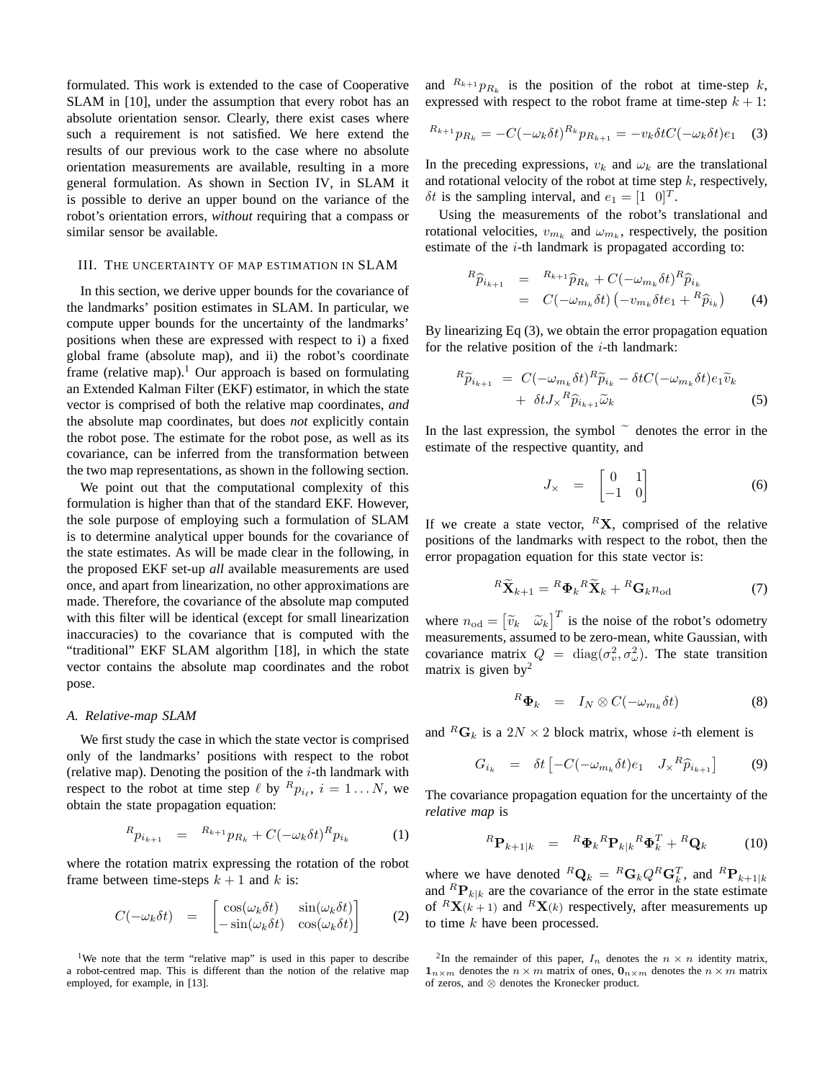formulated. This work is extended to the case of Cooperative SLAM in [10], under the assumption that every robot has an absolute orientation sensor. Clearly, there exist cases where such a requirement is not satisfied. We here extend the results of our previous work to the case where no absolute orientation measurements are available, resulting in a more general formulation. As shown in Section IV, in SLAM it is possible to derive an upper bound on the variance of the robot's orientation errors, *without* requiring that a compass or similar sensor be available.

#### III. THE UNCERTAINTY OF MAP ESTIMATION IN SLAM

In this section, we derive upper bounds for the covariance of the landmarks' position estimates in SLAM. In particular, we compute upper bounds for the uncertainty of the landmarks' positions when these are expressed with respect to i) a fixed global frame (absolute map), and ii) the robot's coordinate frame (relative map).<sup>1</sup> Our approach is based on formulating an Extended Kalman Filter (EKF) estimator, in which the state vector is comprised of both the relative map coordinates, *and* the absolute map coordinates, but does *not* explicitly contain the robot pose. The estimate for the robot pose, as well as its covariance, can be inferred from the transformation between the two map representations, as shown in the following section.

We point out that the computational complexity of this formulation is higher than that of the standard EKF. However, the sole purpose of employing such a formulation of SLAM is to determine analytical upper bounds for the covariance of the state estimates. As will be made clear in the following, in the proposed EKF set-up *all* available measurements are used once, and apart from linearization, no other approximations are made. Therefore, the covariance of the absolute map computed with this filter will be identical (except for small linearization inaccuracies) to the covariance that is computed with the "traditional" EKF SLAM algorithm [18], in which the state vector contains the absolute map coordinates and the robot pose.

#### *A. Relative-map SLAM*

We first study the case in which the state vector is comprised only of the landmarks' positions with respect to the robot (relative map). Denoting the position of the  $i$ -th landmark with respect to the robot at time step  $\ell$  by  ${}^R p_{i_\ell}, i = 1...N$ , we obtain the state propagation equation:

$$
{}^{R}p_{i_{k+1}} = {}^{R_{k+1}}p_{R_k} + C(-\omega_k \delta t)^R p_{i_k}
$$
 (1)

where the rotation matrix expressing the rotation of the robot frame between time-steps  $k + 1$  and k is:

$$
C(-\omega_k \delta t) = \begin{bmatrix} \cos(\omega_k \delta t) & \sin(\omega_k \delta t) \\ -\sin(\omega_k \delta t) & \cos(\omega_k \delta t) \end{bmatrix}
$$
 (2)

<sup>1</sup>We note that the term "relative map" is used in this paper to describe a robot-centred map. This is different than the notion of the relative map employed, for example, in [13].

and  $R_{k+1}p_{R_k}$  is the position of the robot at time-step k, expressed with respect to the robot frame at time-step  $k + 1$ :

$$
R_{k+1}p_{R_k} = -C(-\omega_k \delta t)^{R_k} p_{R_{k+1}} = -v_k \delta t C(-\omega_k \delta t) e_1
$$
 (3)

In the preceding expressions,  $v_k$  and  $\omega_k$  are the translational and rotational velocity of the robot at time step  $k$ , respectively,  $\delta t$  is the sampling interval, and  $e_1 = \begin{bmatrix} 1 & 0 \end{bmatrix}^T$ .

Using the measurements of the robot's translational and rotational velocities,  $v_{m_k}$  and  $\omega_{m_k}$ , respectively, the position estimate of the i-th landmark is propagated according to:

$$
{}^{R}\widehat{p}_{i_{k+1}} = {}^{R_{k+1}}\widehat{p}_{R_k} + C(-\omega_{m_k}\delta t){}^{R}\widehat{p}_{i_k}
$$
  
= 
$$
C(-\omega_{m_k}\delta t) (-v_{m_k}\delta t e_1 + {}^{R}\widehat{p}_{i_k})
$$
 (4)

By linearizing Eq (3), we obtain the error propagation equation for the relative position of the  $i$ -th landmark:

$$
{}^{R}\widetilde{p}_{i_{k+1}} = C(-\omega_{m_k}\delta t) {}^{R}\widetilde{p}_{i_k} - \delta t C(-\omega_{m_k}\delta t) e_1 \widetilde{v}_k + \delta t J_{\times} {}^{R}\widehat{p}_{i_{k+1}} \widetilde{\omega}_k
$$
 (5)

In the last expression, the symbol  $\tilde{c}$  denotes the error in the estimate of the respective quantity, and

$$
J_{\times} = \begin{bmatrix} 0 & 1 \\ -1 & 0 \end{bmatrix} \tag{6}
$$

If we create a state vector,  ${}^R$ **X**, comprised of the relative positions of the landmarks with respect to the robot, then the error propagation equation for this state vector is:

$$
{}^{R}\widetilde{\mathbf{X}}_{k+1} = {}^{R}\mathbf{\Phi}_{k}{}^{R}\widetilde{\mathbf{X}}_{k} + {}^{R}\mathbf{G}_{k}n_{\text{od}}
$$
\n(7)

where  $n_{\text{od}} = \begin{bmatrix} \widetilde{v}_k & \widetilde{\omega}_k \end{bmatrix}^T$  is the noise of the robot's odometry measurements, assumed to be zero-mean, white Gaussian, with covariance matrix  $Q = \text{diag}(\sigma_v^2, \sigma_\omega^2)$ . The state transition matrix is given by<sup>2</sup>

$$
{}^{R}\mathbf{\Phi}_{k} = I_{N} \otimes C(-\omega_{m_{k}}\delta t) \tag{8}
$$

and  ${}^R$ **G**<sub>k</sub> is a 2N × 2 block matrix, whose *i*-th element is

$$
G_{i_k} = \delta t \left[ -C(-\omega_{m_k} \delta t) e_1 \quad J_{\times}{}^R \widehat{p}_{i_{k+1}} \right] \tag{9}
$$

The covariance propagation equation for the uncertainty of the *relative map* is

$$
{}^{R}\mathbf{P}_{k+1|k} = {}^{R}\mathbf{\Phi}_k {}^{R}\mathbf{P}_{k|k} {}^{R}\mathbf{\Phi}_k^T + {}^{R}\mathbf{Q}_k \tag{10}
$$

where we have denoted  ${}^R\mathbf{Q}_k = {}^R\mathbf{G}_k Q^R \mathbf{G}_k^T$ , and  ${}^R\mathbf{P}_{k+1|k}$ and  ${}^R\mathbf{P}_{k|k}$  are the covariance of the error in the state estimate of  ${}^R$ **X**(k + 1) and  ${}^R$ **X**(k) respectively, after measurements up to time  $k$  have been processed.

<sup>&</sup>lt;sup>2</sup>In the remainder of this paper,  $I_n$  denotes the  $n \times n$  identity matrix,  $1_{n\times m}$  denotes the  $n \times m$  matrix of ones,  $0_{n\times m}$  denotes the  $n \times m$  matrix of zeros, and ⊗ denotes the Kronecker product.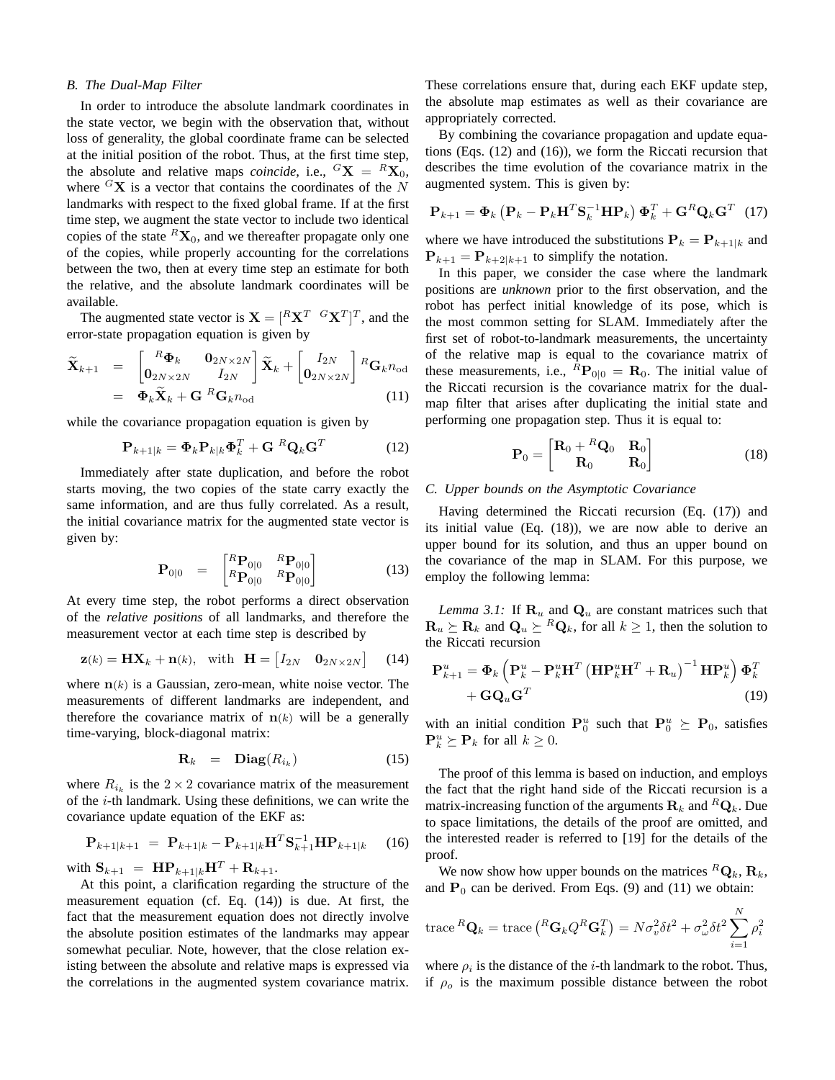#### *B. The Dual-Map Filter*

In order to introduce the absolute landmark coordinates in the state vector, we begin with the observation that, without loss of generality, the global coordinate frame can be selected at the initial position of the robot. Thus, at the first time step, the absolute and relative maps *coincide*, i.e.,  ${}^G$ **X** =  ${}^R$ **X**<sub>0</sub>, where  ${}^{G}\mathbf{X}$  is a vector that contains the coordinates of the N landmarks with respect to the fixed global frame. If at the first time step, we augment the state vector to include two identical copies of the state  ${}^R\textbf{X}_0$ , and we thereafter propagate only one of the copies, while properly accounting for the correlations between the two, then at every time step an estimate for both the relative, and the absolute landmark coordinates will be available.

The augmented state vector is  $\mathbf{X} = [R\mathbf{X}^T \ \ ^G \mathbf{X}^T]^T$ , and the error-state propagation equation is given by

$$
\widetilde{\mathbf{X}}_{k+1} = \begin{bmatrix} R\boldsymbol{\Phi}_k & \mathbf{0}_{2N\times 2N} \\ \mathbf{0}_{2N\times 2N} & I_{2N} \end{bmatrix} \widetilde{\mathbf{X}}_k + \begin{bmatrix} I_{2N} \\ \mathbf{0}_{2N\times 2N} \end{bmatrix} R_{\mathbf{G}_k n_{\text{od}}} \n= \boldsymbol{\Phi}_k \widetilde{\mathbf{X}}_k + \mathbf{G}^R \mathbf{G}_k n_{\text{od}} \qquad (11)
$$

while the covariance propagation equation is given by

$$
\mathbf{P}_{k+1|k} = \mathbf{\Phi}_k \mathbf{P}_{k|k} \mathbf{\Phi}_k^T + \mathbf{G}^R \mathbf{Q}_k \mathbf{G}^T
$$
 (12)

Immediately after state duplication, and before the robot starts moving, the two copies of the state carry exactly the same information, and are thus fully correlated. As a result, the initial covariance matrix for the augmented state vector is given by:

$$
\mathbf{P}_{0|0} = \begin{bmatrix} {^R}\mathbf{P}_{0|0} & {^R}\mathbf{P}_{0|0} \\ {^R}\mathbf{P}_{0|0} & {^R}\mathbf{P}_{0|0} \end{bmatrix}
$$
 (13)

At every time step, the robot performs a direct observation of the *relative positions* of all landmarks, and therefore the measurement vector at each time step is described by

$$
\mathbf{z}(k) = \mathbf{H}\mathbf{X}_k + \mathbf{n}(k), \text{ with } \mathbf{H} = \begin{bmatrix} I_{2N} & \mathbf{0}_{2N \times 2N} \end{bmatrix} \quad (14)
$$

where  $n(k)$  is a Gaussian, zero-mean, white noise vector. The measurements of different landmarks are independent, and therefore the covariance matrix of  $n(k)$  will be a generally time-varying, block-diagonal matrix:

$$
\mathbf{R}_k = \mathbf{Diag}(R_{i_k}) \tag{15}
$$

where  $R_{i_k}$  is the  $2 \times 2$  covariance matrix of the measurement of the  $i$ -th landmark. Using these definitions, we can write the covariance update equation of the EKF as:

$$
\mathbf{P}_{k+1|k+1} = \mathbf{P}_{k+1|k} - \mathbf{P}_{k+1|k} \mathbf{H}^T \mathbf{S}_{k+1}^{-1} \mathbf{H} \mathbf{P}_{k+1|k} \quad (16)
$$

with  $\mathbf{S}_{k+1} = \mathbf{H} \mathbf{P}_{k+1|k} \mathbf{H}^T + \mathbf{R}_{k+1}.$ 

At this point, a clarification regarding the structure of the measurement equation (cf. Eq. (14)) is due. At first, the fact that the measurement equation does not directly involve the absolute position estimates of the landmarks may appear somewhat peculiar. Note, however, that the close relation existing between the absolute and relative maps is expressed via the correlations in the augmented system covariance matrix. These correlations ensure that, during each EKF update step, the absolute map estimates as well as their covariance are appropriately corrected.

By combining the covariance propagation and update equations (Eqs. (12) and (16)), we form the Riccati recursion that describes the time evolution of the covariance matrix in the augmented system. This is given by:

$$
\mathbf{P}_{k+1} = \mathbf{\Phi}_k \left( \mathbf{P}_k - \mathbf{P}_k \mathbf{H}^T \mathbf{S}_k^{-1} \mathbf{H} \mathbf{P}_k \right) \mathbf{\Phi}_k^T + \mathbf{G}^R \mathbf{Q}_k \mathbf{G}^T
$$
 (17)

where we have introduced the substitutions  $P_k = P_{k+1|k}$  and  $\mathbf{P}_{k+1} = \mathbf{P}_{k+2|k+1}$  to simplify the notation.

In this paper, we consider the case where the landmark positions are *unknown* prior to the first observation, and the robot has perfect initial knowledge of its pose, which is the most common setting for SLAM. Immediately after the first set of robot-to-landmark measurements, the uncertainty of the relative map is equal to the covariance matrix of these measurements, i.e.,  ${}^R\text{P}_{0|0} = \text{R}_0$ . The initial value of the Riccati recursion is the covariance matrix for the dualmap filter that arises after duplicating the initial state and performing one propagation step. Thus it is equal to:

$$
\mathbf{P}_0 = \begin{bmatrix} \mathbf{R}_0 + {}^R \mathbf{Q}_0 & \mathbf{R}_0 \\ \mathbf{R}_0 & \mathbf{R}_0 \end{bmatrix}
$$
 (18)

#### *C. Upper bounds on the Asymptotic Covariance*

Having determined the Riccati recursion (Eq. (17)) and its initial value (Eq. (18)), we are now able to derive an upper bound for its solution, and thus an upper bound on the covariance of the map in SLAM. For this purpose, we employ the following lemma:

*Lemma 3.1:* If  $\mathbf{R}_u$  and  $\mathbf{Q}_u$  are constant matrices such that  $\mathbf{R}_u \succeq \mathbf{R}_k$  and  $\mathbf{Q}_u \succeq {}^R\mathbf{Q}_k$ , for all  $k \geq 1$ , then the solution to the Riccati recursion

$$
\mathbf{P}_{k+1}^{u} = \mathbf{\Phi}_{k} \left( \mathbf{P}_{k}^{u} - \mathbf{P}_{k}^{u} \mathbf{H}^{T} \left( \mathbf{H} \mathbf{P}_{k}^{u} \mathbf{H}^{T} + \mathbf{R}_{u} \right)^{-1} \mathbf{H} \mathbf{P}_{k}^{u} \right) \mathbf{\Phi}_{k}^{T} + \mathbf{G} \mathbf{Q}_{u} \mathbf{G}^{T}
$$
\n(19)

with an initial condition  $\mathbf{P}_0^u$  such that  $\mathbf{P}_0^u \succeq \mathbf{P}_0$ , satisfies  $\mathbf{P}_k^u \succeq \mathbf{P}_k$  for all  $k \geq 0$ .

The proof of this lemma is based on induction, and employs the fact that the right hand side of the Riccati recursion is a matrix-increasing function of the arguments  $\mathbf{R}_k$  and  ${}^R\mathbf{Q}_k$ . Due to space limitations, the details of the proof are omitted, and the interested reader is referred to [19] for the details of the proof.

We now show how upper bounds on the matrices  ${}^R\mathbf{Q}_k$ ,  $\mathbf{R}_k$ , and  $P_0$  can be derived. From Eqs. (9) and (11) we obtain:

trace<sup>R</sup>
$$
\mathbf{Q}_k
$$
 = trace $\left(^R\mathbf{G}_k Q^R\mathbf{G}_k^T\right)$  =  $N\sigma_v^2 \delta t^2 + \sigma_\omega^2 \delta t^2 \sum_{i=1}^N \rho_i^2$ 

where  $\rho_i$  is the distance of the *i*-th landmark to the robot. Thus, if  $\rho_o$  is the maximum possible distance between the robot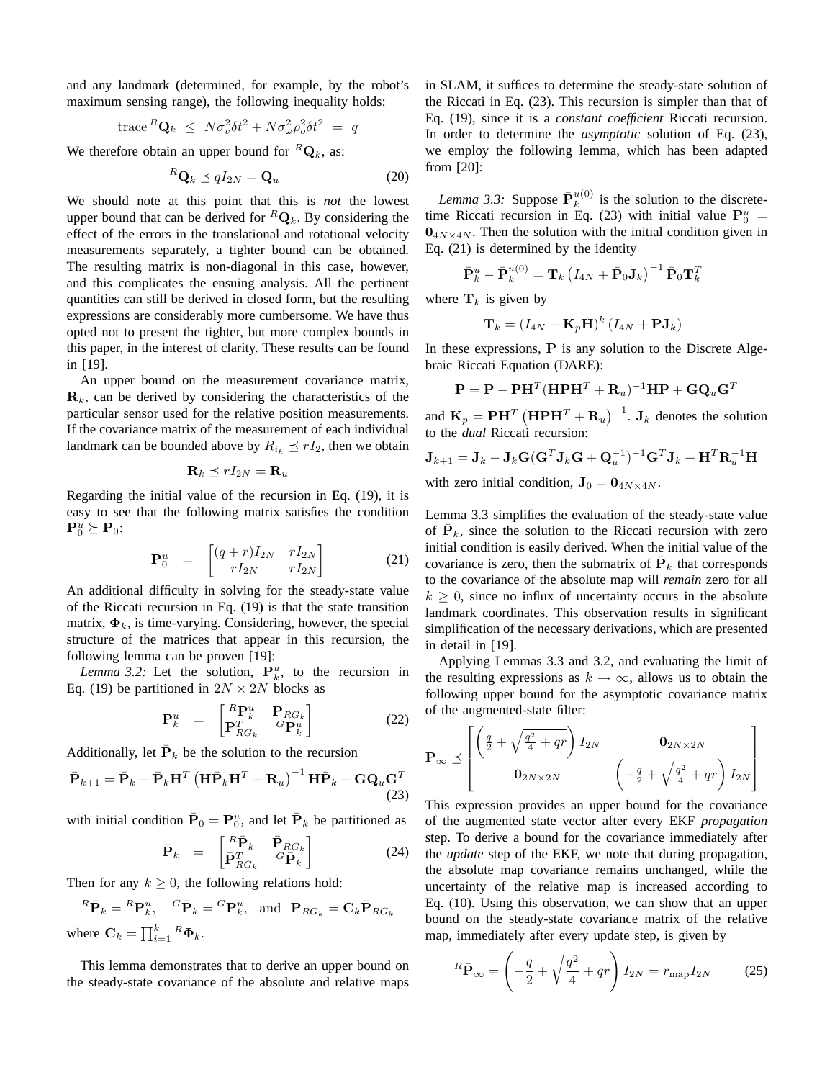and any landmark (determined, for example, by the robot's maximum sensing range), the following inequality holds:

trace 
$$
^R\mathbf{Q}_k \leq N\sigma_v^2 \delta t^2 + N\sigma_\omega^2 \rho_o^2 \delta t^2 = q
$$

We therefore obtain an upper bound for  ${}^R\mathbf{Q}_k$ , as:

$$
{}^{R}\mathbf{Q}_{k} \preceq qI_{2N} = \mathbf{Q}_{u}
$$
 (20)

We should note at this point that this is *not* the lowest upper bound that can be derived for  ${}^R\mathbf{Q}_k$ . By considering the effect of the errors in the translational and rotational velocity measurements separately, a tighter bound can be obtained. The resulting matrix is non-diagonal in this case, however, and this complicates the ensuing analysis. All the pertinent quantities can still be derived in closed form, but the resulting expressions are considerably more cumbersome. We have thus opted not to present the tighter, but more complex bounds in this paper, in the interest of clarity. These results can be found in [19].

An upper bound on the measurement covariance matrix,  $\mathbf{R}_k$ , can be derived by considering the characteristics of the particular sensor used for the relative position measurements. If the covariance matrix of the measurement of each individual landmark can be bounded above by  $R_{i_k} \preceq rI_2$ , then we obtain

$$
\mathbf{R}_k \preceq rI_{2N} = \mathbf{R}_u
$$

Regarding the initial value of the recursion in Eq. (19), it is easy to see that the following matrix satisfies the condition  ${\bf P}^u_0 \succeq {\bf P}_0$ :

$$
\mathbf{P}_0^u = \begin{bmatrix} (q+r)I_{2N} & rI_{2N} \\ rI_{2N} & rI_{2N} \end{bmatrix}
$$
 (21)

An additional difficulty in solving for the steady-state value of the Riccati recursion in Eq. (19) is that the state transition matrix,  $\Phi_k$ , is time-varying. Considering, however, the special structure of the matrices that appear in this recursion, the following lemma can be proven [19]:

*Lemma 3.2:* Let the solution,  $P_k^u$ , to the recursion in Eq. (19) be partitioned in  $2N \times 2N$  blocks as

$$
\mathbf{P}_k^u = \begin{bmatrix} {}^R \mathbf{P}_k^u & \mathbf{P}_{RG_k} \\ \mathbf{P}_{RG_k}^T & {}^G \mathbf{P}_k^u \end{bmatrix} \tag{22}
$$

Additionally, let  $\bar{P}_k$  be the solution to the recursion

$$
\bar{\mathbf{P}}_{k+1} = \bar{\mathbf{P}}_k - \bar{\mathbf{P}}_k \mathbf{H}^T \left( \mathbf{H} \bar{\mathbf{P}}_k \mathbf{H}^T + \mathbf{R}_u \right)^{-1} \mathbf{H} \bar{\mathbf{P}}_k + \mathbf{G} \mathbf{Q}_u \mathbf{G}^T
$$
\n(23)

with initial condition  $\bar{\mathbf{P}}_0 = \mathbf{P}_0^u$ , and let  $\bar{\mathbf{P}}_k$  be partitioned as

$$
\bar{\mathbf{P}}_k = \begin{bmatrix} R\bar{\mathbf{P}}_k & \bar{\mathbf{P}}_{RG_k} \\ \bar{\mathbf{P}}_{RG_k}^T & {}^G \bar{\mathbf{P}}_k \end{bmatrix} \tag{24}
$$

Then for any  $k \geq 0$ , the following relations hold:

$$
{}^{R}\bar{\mathbf{P}}_{k} = {}^{R}\mathbf{P}_{k}^{u}, \quad {}^{G}\bar{\mathbf{P}}_{k} = {}^{G}\mathbf{P}_{k}^{u}, \text{ and } \mathbf{P}_{RG_{k}} = \mathbf{C}_{k}\bar{\mathbf{P}}_{RG_{k}}
$$
  
where  $\mathbf{C}_{k} = \prod_{i=1}^{k} {}^{R}\Phi_{k}$ .

This lemma demonstrates that to derive an upper bound on the steady-state covariance of the absolute and relative maps in SLAM, it suffices to determine the steady-state solution of the Riccati in Eq. (23). This recursion is simpler than that of Eq. (19), since it is a *constant coefficient* Riccati recursion. In order to determine the *asymptotic* solution of Eq. (23), we employ the following lemma, which has been adapted from [20]:

*Lemma 3.3:* Suppose  $\bar{P}_k^{u(0)}$  $\frac{u(0)}{k}$  is the solution to the discretetime Riccati recursion in Eq. (23) with initial value  $P_0^u$  =  $0_{4N\times4N}$ . Then the solution with the initial condition given in Eq. (21) is determined by the identity

$$
\bar{\mathbf{P}}_k^u - \bar{\mathbf{P}}_k^{u(0)} = \mathbf{T}_k \left( I_{4N} + \bar{\mathbf{P}}_0 \mathbf{J}_k \right)^{-1} \bar{\mathbf{P}}_0 \mathbf{T}_k^T
$$

where  $\mathbf{T}_k$  is given by

$$
\mathbf{T}_k = (I_{4N} - \mathbf{K}_p \mathbf{H})^k (I_{4N} + \mathbf{P} \mathbf{J}_k)
$$

In these expressions,  $P$  is any solution to the Discrete Algebraic Riccati Equation (DARE):

$$
\mathbf{P} = \mathbf{P} - \mathbf{P} \mathbf{H}^T (\mathbf{H} \mathbf{P} \mathbf{H}^T + \mathbf{R}_u)^{-1} \mathbf{H} \mathbf{P} + \mathbf{G} \mathbf{Q}_u \mathbf{G}^T
$$

and  $\mathbf{K}_p = \mathbf{P}\mathbf{H}^T \left( \mathbf{H} \mathbf{P} \mathbf{H}^T + \mathbf{R}_u \right)^{-1}$ .  $\mathbf{J}_k$  denotes the solution to the *dual* Riccati recursion:

$$
\mathbf{J}_{k+1} = \mathbf{J}_k - \mathbf{J}_k \mathbf{G} (\mathbf{G}^T \mathbf{J}_k \mathbf{G} + \mathbf{Q}_u^{-1})^{-1} \mathbf{G}^T \mathbf{J}_k + \mathbf{H}^T \mathbf{R}_u^{-1} \mathbf{H}
$$

with zero initial condition,  $\mathbf{J}_0 = \mathbf{0}_{4N \times 4N}$ .

Lemma 3.3 simplifies the evaluation of the steady-state value of  $\bar{P}_k$ , since the solution to the Riccati recursion with zero initial condition is easily derived. When the initial value of the covariance is zero, then the submatrix of  $\bar{P}_k$  that corresponds to the covariance of the absolute map will *remain* zero for all  $k \geq 0$ , since no influx of uncertainty occurs in the absolute landmark coordinates. This observation results in significant simplification of the necessary derivations, which are presented in detail in [19].

Applying Lemmas 3.3 and 3.2, and evaluating the limit of the resulting expressions as  $k \to \infty$ , allows us to obtain the following upper bound for the asymptotic covariance matrix of the augmented-state filter:

$$
\mathbf{P}_{\infty} \preceq \begin{bmatrix} \left(\frac{q}{2} + \sqrt{\frac{q^2}{4} + qr}\right) I_{2N} & \mathbf{0}_{2N \times 2N} \\ \mathbf{0}_{2N \times 2N} & \left(-\frac{q}{2} + \sqrt{\frac{q^2}{4} + qr}\right) I_{2N} \end{bmatrix}
$$

This expression provides an upper bound for the covariance of the augmented state vector after every EKF *propagation* step. To derive a bound for the covariance immediately after the *update* step of the EKF, we note that during propagation, the absolute map covariance remains unchanged, while the uncertainty of the relative map is increased according to Eq. (10). Using this observation, we can show that an upper bound on the steady-state covariance matrix of the relative map, immediately after every update step, is given by

$$
{}^{R}\bar{\mathbf{P}}_{\infty} = \left(-\frac{q}{2} + \sqrt{\frac{q^2}{4} + qr}\right)I_{2N} = r_{\text{map}}I_{2N}
$$
 (25)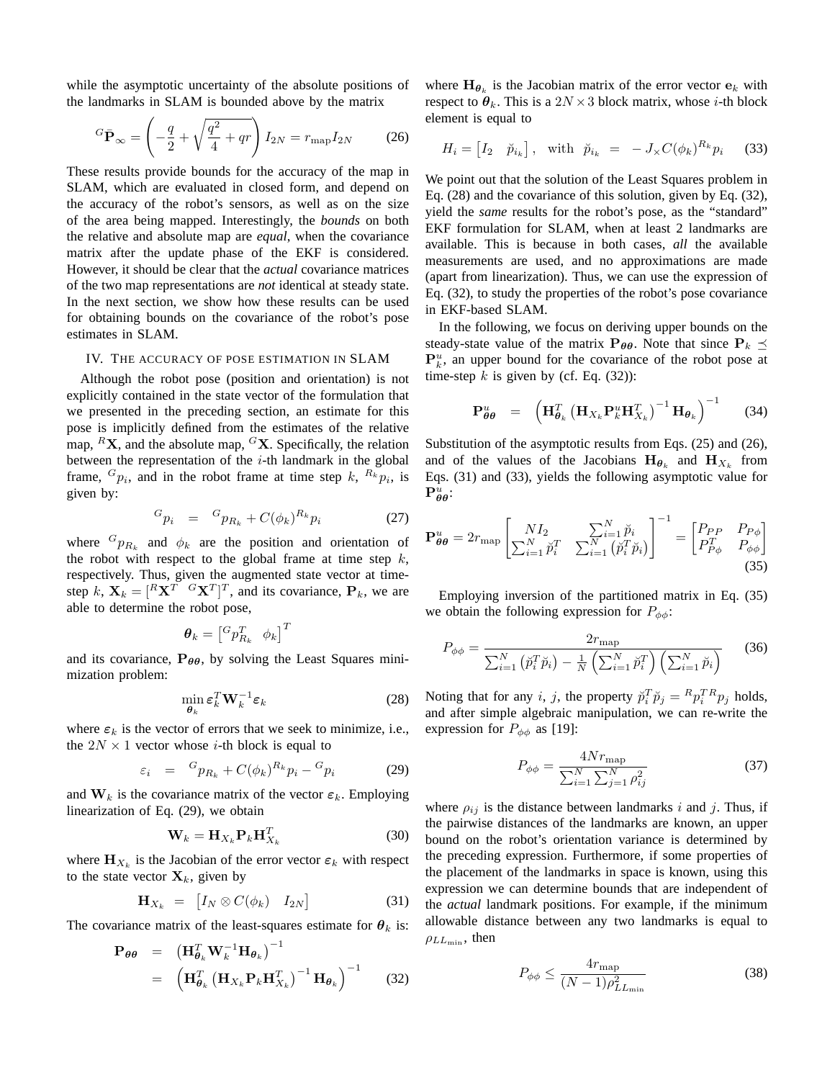while the asymptotic uncertainty of the absolute positions of the landmarks in SLAM is bounded above by the matrix

$$
{}^{G}\bar{\mathbf{P}}_{\infty} = \left(-\frac{q}{2} + \sqrt{\frac{q^2}{4} + qr}\right)I_{2N} = r_{\text{map}}I_{2N}
$$
 (26)

These results provide bounds for the accuracy of the map in SLAM, which are evaluated in closed form, and depend on the accuracy of the robot's sensors, as well as on the size of the area being mapped. Interestingly, the *bounds* on both the relative and absolute map are *equal*, when the covariance matrix after the update phase of the EKF is considered. However, it should be clear that the *actual* covariance matrices of the two map representations are *not* identical at steady state. In the next section, we show how these results can be used for obtaining bounds on the covariance of the robot's pose estimates in SLAM.

## IV. THE ACCURACY OF POSE ESTIMATION IN SLAM

Although the robot pose (position and orientation) is not explicitly contained in the state vector of the formulation that we presented in the preceding section, an estimate for this pose is implicitly defined from the estimates of the relative map,  ${}^R$ **X**, and the absolute map,  ${}^G$ **X**. Specifically, the relation between the representation of the  $i$ -th landmark in the global frame,  $G_{p_i}$ , and in the robot frame at time step k,  $R_k p_i$ , is given by:

$$
{}^{G}p_{i} = {}^{G}p_{R_{k}} + C(\phi_{k})^{R_{k}}p_{i}
$$
 (27)

where  ${}^{G}p_{R_k}$  and  $\phi_k$  are the position and orientation of the robot with respect to the global frame at time step  $k$ , respectively. Thus, given the augmented state vector at timestep k,  $\mathbf{X}_k = [\begin{matrix} R\mathbf{X}^T & G\mathbf{X}^T \end{matrix}]^T$ , and its covariance,  $\mathbf{P}_k$ , we are able to determine the robot pose,

$$
\boldsymbol{\theta}_k = \begin{bmatrix} {^G p}_{R_k}^T & \phi_k \end{bmatrix}^T
$$

and its covariance,  $P_{\theta\theta}$ , by solving the Least Squares minimization problem:

$$
\min_{\boldsymbol{\theta}_k} \boldsymbol{\varepsilon}_k^T \mathbf{W}_k^{-1} \boldsymbol{\varepsilon}_k \tag{28}
$$

where  $\varepsilon_k$  is the vector of errors that we seek to minimize, i.e., the  $2N \times 1$  vector whose *i*-th block is equal to

$$
\varepsilon_i = {}^G p_{R_k} + C(\phi_k)^{R_k} p_i - {}^G p_i \tag{29}
$$

and  $W_k$  is the covariance matrix of the vector  $\varepsilon_k$ . Employing linearization of Eq. (29), we obtain

$$
\mathbf{W}_k = \mathbf{H}_{X_k} \mathbf{P}_k \mathbf{H}_{X_k}^T
$$
 (30)

where  $\mathbf{H}_{X_k}$  is the Jacobian of the error vector  $\varepsilon_k$  with respect to the state vector  $X_k$ , given by

$$
\mathbf{H}_{X_k} = \begin{bmatrix} I_N \otimes C(\phi_k) & I_{2N} \end{bmatrix} \tag{31}
$$

The covariance matrix of the least-squares estimate for  $\theta_k$  is:

$$
\mathbf{P}_{\theta\theta} = (\mathbf{H}_{\theta_k}^T \mathbf{W}_k^{-1} \mathbf{H}_{\theta_k})^{-1}
$$
  
=  $(\mathbf{H}_{\theta_k}^T (\mathbf{H}_{X_k} \mathbf{P}_k \mathbf{H}_{X_k}^T)^{-1} \mathbf{H}_{\theta_k})^{-1}$  (32)

where  $H_{\theta_k}$  is the Jacobian matrix of the error vector  $e_k$  with respect to  $\theta_k$ . This is a  $2N \times 3$  block matrix, whose *i*-th block element is equal to

$$
H_i = \begin{bmatrix} I_2 & \breve{p}_{i_k} \end{bmatrix}, \quad \text{with} \quad \breve{p}_{i_k} = -J_{\times} C(\phi_k)^{R_k} p_i \tag{33}
$$

We point out that the solution of the Least Squares problem in Eq. (28) and the covariance of this solution, given by Eq. (32), yield the *same* results for the robot's pose, as the "standard" EKF formulation for SLAM, when at least 2 landmarks are available. This is because in both cases, *all* the available measurements are used, and no approximations are made (apart from linearization). Thus, we can use the expression of Eq. (32), to study the properties of the robot's pose covariance in EKF-based SLAM.

In the following, we focus on deriving upper bounds on the steady-state value of the matrix  $P_{\theta\theta}$ . Note that since  $P_k \preceq$  $\mathbf{P}_k^u$ , an upper bound for the covariance of the robot pose at time-step  $k$  is given by (cf. Eq. (32)):

$$
\mathbf{P}_{\theta\theta}^{u} = \left(\mathbf{H}_{\theta_k}^T \left(\mathbf{H}_{X_k} \mathbf{P}_k^u \mathbf{H}_{X_k}^T\right)^{-1} \mathbf{H}_{\theta_k}\right)^{-1} \quad (34)
$$

Substitution of the asymptotic results from Eqs. (25) and (26), and of the values of the Jacobians  $H_{\theta_k}$  and  $H_{X_k}$  from Eqs. (31) and (33), yields the following asymptotic value for  ${\bf P}_{\boldsymbol{\theta}\boldsymbol{\theta}}^u$ :

$$
\mathbf{P}_{\theta\theta}^{u} = 2r_{\text{map}} \begin{bmatrix} NI_2 & \sum_{i=1}^{N} \check{p}_i \\ \sum_{i=1}^{N} \check{p}_i^T & \sum_{i=1}^{N} (\check{p}_i^T \check{p}_i) \end{bmatrix}^{-1} = \begin{bmatrix} P_{PP} & P_{P\phi} \\ P_{P\phi}^T & P_{\phi\phi} \end{bmatrix}
$$
(35)

Employing inversion of the partitioned matrix in Eq. (35) we obtain the following expression for  $P_{\phi\phi}$ :

$$
P_{\phi\phi} = \frac{2r_{\text{map}}}{\sum_{i=1}^{N} (\breve{p}_i^T \breve{p}_i) - \frac{1}{N} \left( \sum_{i=1}^{N} \breve{p}_i^T \right) \left( \sum_{i=1}^{N} \breve{p}_i \right)}
$$
(36)

Noting that for any *i*, *j*, the property  $\tilde{p}_i^T \tilde{p}_j = {}^R p_i^T {}^R p_j$  holds, and after simple algebraic manipulation, we can re-write the expression for  $P_{\phi\phi}$  as [19]:

$$
P_{\phi\phi} = \frac{4Nr_{\text{map}}}{\sum_{i=1}^{N} \sum_{j=1}^{N} \rho_{ij}^2}
$$
 (37)

where  $\rho_{ij}$  is the distance between landmarks i and j. Thus, if the pairwise distances of the landmarks are known, an upper bound on the robot's orientation variance is determined by the preceding expression. Furthermore, if some properties of the placement of the landmarks in space is known, using this expression we can determine bounds that are independent of the *actual* landmark positions. For example, if the minimum allowable distance between any two landmarks is equal to  $\rho_{LL_{\rm min}}$ , then

$$
P_{\phi\phi} \le \frac{4r_{\text{map}}}{(N-1)\rho_{LL_{\text{min}}}^2} \tag{38}
$$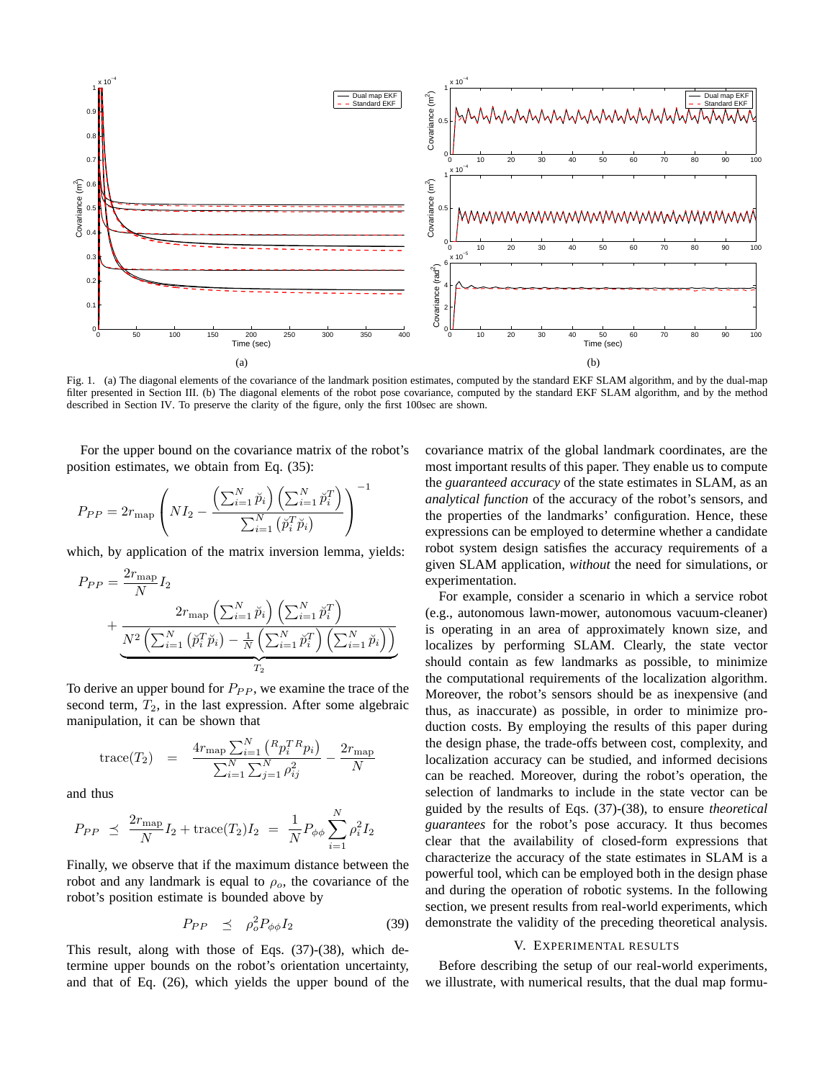

Fig. 1. (a) The diagonal elements of the covariance of the landmark position estimates, computed by the standard EKF SLAM algorithm, and by the dual-map filter presented in Section III. (b) The diagonal elements of the robot pose covariance, computed by the standard EKF SLAM algorithm, and by the method described in Section IV. To preserve the clarity of the figure, only the first 100sec are shown.

−1

For the upper bound on the covariance matrix of the robot's position estimates, we obtain from Eq. (35):

$$
P_{PP} = 2r_{\text{map}} \left( NI_2 - \frac{\left( \sum_{i=1}^{N} \breve{p}_i \right) \left( \sum_{i=1}^{N} \breve{p}_i^T \right)}{\sum_{i=1}^{N} \left( \breve{p}_i^T \breve{p}_i \right)} \right)
$$

which, by application of the matrix inversion lemma, yields:

$$
P_{PP} = \frac{2r_{\text{map}}}{N} I_2
$$
  
+ 
$$
\frac{2r_{\text{map}} \left(\sum_{i=1}^{N} \tilde{p}_i\right) \left(\sum_{i=1}^{N} \tilde{p}_i^T\right)}{\frac{N^2 \left(\sum_{i=1}^{N} (\tilde{p}_i^T \tilde{p}_i) - \frac{1}{N} \left(\sum_{i=1}^{N} \tilde{p}_i^T\right) \left(\sum_{i=1}^{N} \tilde{p}_i\right)\right)}{r_2}}
$$

To derive an upper bound for  $P_{PP}$ , we examine the trace of the second term,  $T_2$ , in the last expression. After some algebraic manipulation, it can be shown that

trace
$$
(T_2)
$$
 =  $\frac{4r_{\text{map}}\sum_{i=1}^{N} (R_p T R_p i)}{\sum_{i=1}^{N} \sum_{j=1}^{N} \rho_{ij}^2} - \frac{2r_{\text{map}}}{N}$ 

and thus

$$
P_{PP} \preceq \frac{2r_{\text{map}}}{N} I_2 + \text{trace}(T_2) I_2 = \frac{1}{N} P_{\phi\phi} \sum_{i=1}^{N} \rho_i^2 I_2
$$

Finally, we observe that if the maximum distance between the robot and any landmark is equal to  $\rho_o$ , the covariance of the robot's position estimate is bounded above by

$$
P_{PP} \preceq \rho_o^2 P_{\phi\phi} I_2 \tag{39}
$$

This result, along with those of Eqs. (37)-(38), which determine upper bounds on the robot's orientation uncertainty, and that of Eq. (26), which yields the upper bound of the covariance matrix of the global landmark coordinates, are the most important results of this paper. They enable us to compute the *guaranteed accuracy* of the state estimates in SLAM, as an *analytical function* of the accuracy of the robot's sensors, and the properties of the landmarks' configuration. Hence, these expressions can be employed to determine whether a candidate robot system design satisfies the accuracy requirements of a given SLAM application, *without* the need for simulations, or experimentation.

For example, consider a scenario in which a service robot (e.g., autonomous lawn-mower, autonomous vacuum-cleaner) is operating in an area of approximately known size, and localizes by performing SLAM. Clearly, the state vector should contain as few landmarks as possible, to minimize the computational requirements of the localization algorithm. Moreover, the robot's sensors should be as inexpensive (and thus, as inaccurate) as possible, in order to minimize production costs. By employing the results of this paper during the design phase, the trade-offs between cost, complexity, and localization accuracy can be studied, and informed decisions can be reached. Moreover, during the robot's operation, the selection of landmarks to include in the state vector can be guided by the results of Eqs. (37)-(38), to ensure *theoretical guarantees* for the robot's pose accuracy. It thus becomes clear that the availability of closed-form expressions that characterize the accuracy of the state estimates in SLAM is a powerful tool, which can be employed both in the design phase and during the operation of robotic systems. In the following section, we present results from real-world experiments, which demonstrate the validity of the preceding theoretical analysis.

#### V. EXPERIMENTAL RESULTS

Before describing the setup of our real-world experiments, we illustrate, with numerical results, that the dual map formu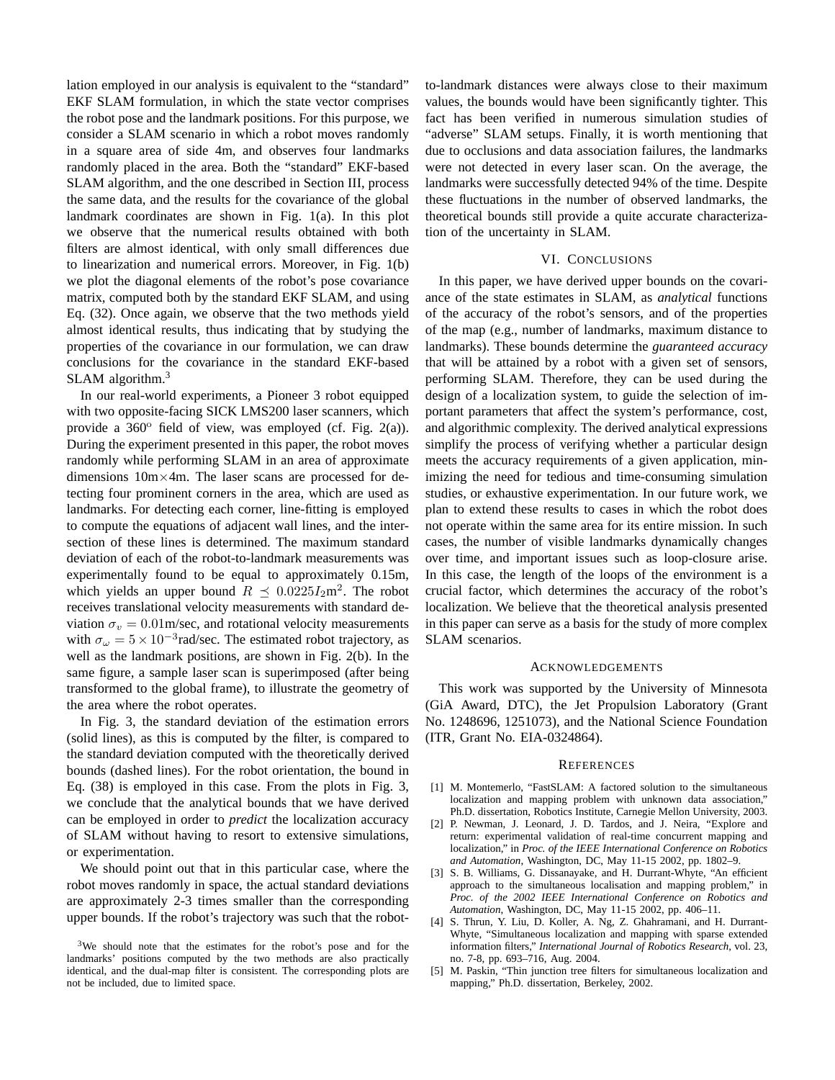lation employed in our analysis is equivalent to the "standard" EKF SLAM formulation, in which the state vector comprises the robot pose and the landmark positions. For this purpose, we consider a SLAM scenario in which a robot moves randomly in a square area of side 4m, and observes four landmarks randomly placed in the area. Both the "standard" EKF-based SLAM algorithm, and the one described in Section III, process the same data, and the results for the covariance of the global landmark coordinates are shown in Fig. 1(a). In this plot we observe that the numerical results obtained with both filters are almost identical, with only small differences due to linearization and numerical errors. Moreover, in Fig. 1(b) we plot the diagonal elements of the robot's pose covariance matrix, computed both by the standard EKF SLAM, and using Eq. (32). Once again, we observe that the two methods yield almost identical results, thus indicating that by studying the properties of the covariance in our formulation, we can draw conclusions for the covariance in the standard EKF-based SLAM algorithm.<sup>3</sup>

In our real-world experiments, a Pioneer 3 robot equipped with two opposite-facing SICK LMS200 laser scanners, which provide a  $360^\circ$  field of view, was employed (cf. Fig. 2(a)). During the experiment presented in this paper, the robot moves randomly while performing SLAM in an area of approximate dimensions 10m×4m. The laser scans are processed for detecting four prominent corners in the area, which are used as landmarks. For detecting each corner, line-fitting is employed to compute the equations of adjacent wall lines, and the intersection of these lines is determined. The maximum standard deviation of each of the robot-to-landmark measurements was experimentally found to be equal to approximately 0.15m, which yields an upper bound  $R \leq 0.0225 I_2$ m<sup>2</sup>. The robot receives translational velocity measurements with standard deviation  $\sigma_v = 0.01$ m/sec, and rotational velocity measurements with  $\sigma_{\omega} = 5 \times 10^{-3}$  rad/sec. The estimated robot trajectory, as well as the landmark positions, are shown in Fig. 2(b). In the same figure, a sample laser scan is superimposed (after being transformed to the global frame), to illustrate the geometry of the area where the robot operates.

In Fig. 3, the standard deviation of the estimation errors (solid lines), as this is computed by the filter, is compared to the standard deviation computed with the theoretically derived bounds (dashed lines). For the robot orientation, the bound in Eq. (38) is employed in this case. From the plots in Fig. 3, we conclude that the analytical bounds that we have derived can be employed in order to *predict* the localization accuracy of SLAM without having to resort to extensive simulations, or experimentation.

We should point out that in this particular case, where the robot moves randomly in space, the actual standard deviations are approximately 2-3 times smaller than the corresponding upper bounds. If the robot's trajectory was such that the robotto-landmark distances were always close to their maximum values, the bounds would have been significantly tighter. This fact has been verified in numerous simulation studies of "adverse" SLAM setups. Finally, it is worth mentioning that due to occlusions and data association failures, the landmarks were not detected in every laser scan. On the average, the landmarks were successfully detected 94% of the time. Despite these fluctuations in the number of observed landmarks, the theoretical bounds still provide a quite accurate characterization of the uncertainty in SLAM.

## VI. CONCLUSIONS

In this paper, we have derived upper bounds on the covariance of the state estimates in SLAM, as *analytical* functions of the accuracy of the robot's sensors, and of the properties of the map (e.g., number of landmarks, maximum distance to landmarks). These bounds determine the *guaranteed accuracy* that will be attained by a robot with a given set of sensors, performing SLAM. Therefore, they can be used during the design of a localization system, to guide the selection of important parameters that affect the system's performance, cost, and algorithmic complexity. The derived analytical expressions simplify the process of verifying whether a particular design meets the accuracy requirements of a given application, minimizing the need for tedious and time-consuming simulation studies, or exhaustive experimentation. In our future work, we plan to extend these results to cases in which the robot does not operate within the same area for its entire mission. In such cases, the number of visible landmarks dynamically changes over time, and important issues such as loop-closure arise. In this case, the length of the loops of the environment is a crucial factor, which determines the accuracy of the robot's localization. We believe that the theoretical analysis presented in this paper can serve as a basis for the study of more complex SLAM scenarios.

## ACKNOWLEDGEMENTS

This work was supported by the University of Minnesota (GiA Award, DTC), the Jet Propulsion Laboratory (Grant No. 1248696, 1251073), and the National Science Foundation (ITR, Grant No. EIA-0324864).

## **REFERENCES**

- [1] M. Montemerlo, "FastSLAM: A factored solution to the simultaneous localization and mapping problem with unknown data association," Ph.D. dissertation, Robotics Institute, Carnegie Mellon University, 2003.
- [2] P. Newman, J. Leonard, J. D. Tardos, and J. Neira, "Explore and return: experimental validation of real-time concurrent mapping and localization," in *Proc. of the IEEE International Conference on Robotics and Automation*, Washington, DC, May 11-15 2002, pp. 1802–9.
- [3] S. B. Williams, G. Dissanayake, and H. Durrant-Whyte, "An efficient approach to the simultaneous localisation and mapping problem," in *Proc. of the 2002 IEEE International Conference on Robotics and Automation*, Washington, DC, May 11-15 2002, pp. 406–11.
- [4] S. Thrun, Y. Liu, D. Koller, A. Ng, Z. Ghahramani, and H. Durrant-Whyte, "Simultaneous localization and mapping with sparse extended information filters," *International Journal of Robotics Research*, vol. 23, no. 7-8, pp. 693–716, Aug. 2004.
- [5] M. Paskin, "Thin junction tree filters for simultaneous localization and mapping," Ph.D. dissertation, Berkeley, 2002.

<sup>3</sup>We should note that the estimates for the robot's pose and for the landmarks' positions computed by the two methods are also practically identical, and the dual-map filter is consistent. The corresponding plots are not be included, due to limited space.